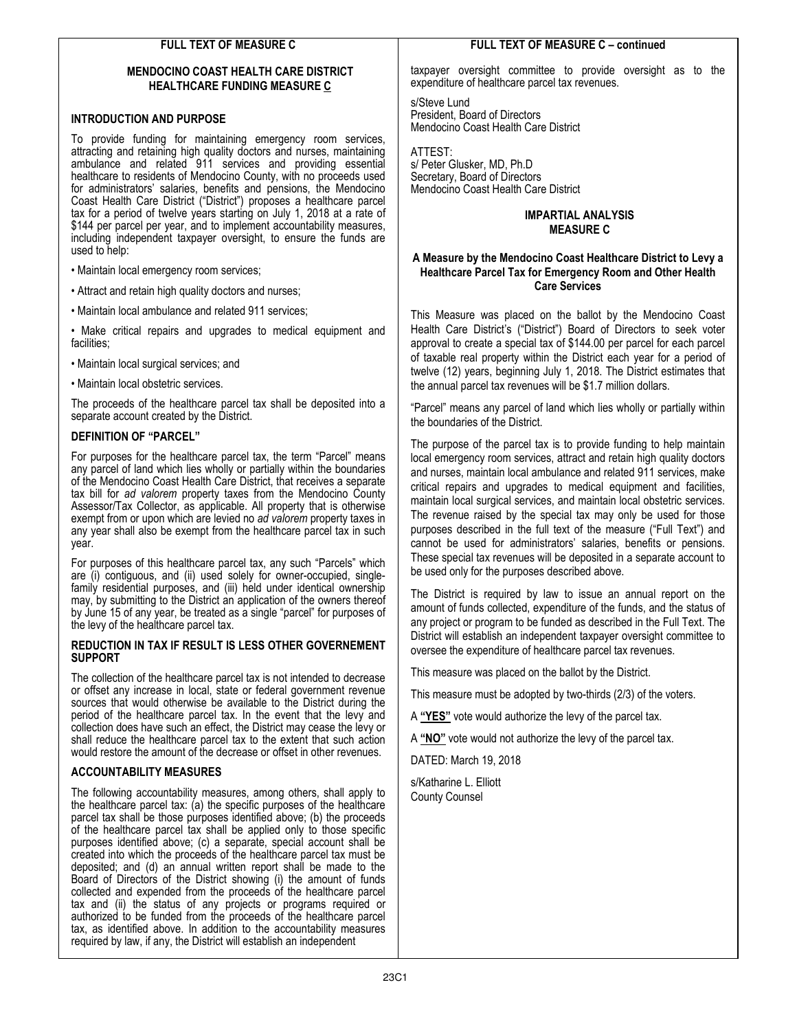# FULL TEXT OF MEASURE C

### MENDOCINO COAST HEALTH CARE DISTRICT HEALTHCARE FUNDING MEASURE C

### INTRODUCTION AND PURPOSE

To provide funding for maintaining emergency room services, attracting and retaining high quality doctors and nurses, maintaining ambulance and related 911 services and providing essential healthcare to residents of Mendocino County, with no proceeds used for administrators' salaries, benefits and pensions, the Mendocino Coast Health Care District ("District") proposes a healthcare parcel tax for a period of twelve years starting on July 1, 2018 at a rate of \$144 per parcel per year, and to implement accountability measures, including independent taxpayer oversight, to ensure the funds are used to help:

- Maintain local emergency room services;
- Attract and retain high quality doctors and nurses;
- Maintain local ambulance and related 911 services;
- Make critical repairs and upgrades to medical equipment and facilities:
- Maintain local surgical services; and
- Maintain local obstetric services.

The proceeds of the healthcare parcel tax shall be deposited into a separate account created by the District.

## DEFINITION OF "PARCEL"

For purposes for the healthcare parcel tax, the term "Parcel" means any parcel of land which lies wholly or partially within the boundaries of the Mendocino Coast Health Care District, that receives a separate tax bill for ad valorem property taxes from the Mendocino County Assessor/Tax Collector, as applicable. All property that is otherwise exempt from or upon which are levied no ad valorem property taxes in any year shall also be exempt from the healthcare parcel tax in such year.

For purposes of this healthcare parcel tax, any such "Parcels" which are (i) contiguous, and (ii) used solely for owner-occupied, singlefamily residential purposes, and (iii) held under identical ownership may, by submitting to the District an application of the owners thereof by June 15 of any year, be treated as a single "parcel" for purposes of the levy of the healthcare parcel tax.

#### REDUCTION IN TAX IF RESULT IS LESS OTHER GOVERNEMENT **SUPPORT**

The collection of the healthcare parcel tax is not intended to decrease or offset any increase in local, state or federal government revenue sources that would otherwise be available to the District during the period of the healthcare parcel tax. In the event that the levy and collection does have such an effect, the District may cease the levy or shall reduce the healthcare parcel tax to the extent that such action would restore the amount of the decrease or offset in other revenues.

## ACCOUNTABILITY MEASURES

The following accountability measures, among others, shall apply to the healthcare parcel tax: (a) the specific purposes of the healthcare parcel tax shall be those purposes identified above; (b) the proceeds of the healthcare parcel tax shall be applied only to those specific purposes identified above; (c) a separate, special account shall be created into which the proceeds of the healthcare parcel tax must be deposited; and (d) an annual written report shall be made to the Board of Directors of the District showing (i) the amount of funds collected and expended from the proceeds of the healthcare parcel tax and (ii) the status of any projects or programs required or authorized to be funded from the proceeds of the healthcare parcel tax, as identified above. In addition to the accountability measures required by law, if any, the District will establish an independent

#### FULL TEXT OF MEASURE C – continued

taxpayer oversight committee to provide oversight as to the expenditure of healthcare parcel tax revenues.

s/Steve Lund President, Board of Directors Mendocino Coast Health Care District

ATTEST: s/ Peter Glusker, MD, Ph.D Secretary, Board of Directors Mendocino Coast Health Care District

## IMPARTIAL ANALYSIS MEASURE C

## A Measure by the Mendocino Coast Healthcare District to Levy a Healthcare Parcel Tax for Emergency Room and Other Health Care Services

This Measure was placed on the ballot by the Mendocino Coast Health Care District's ("District") Board of Directors to seek voter approval to create a special tax of \$144.00 per parcel for each parcel of taxable real property within the District each year for a period of twelve (12) years, beginning July 1, 2018. The District estimates that the annual parcel tax revenues will be \$1.7 million dollars.

"Parcel" means any parcel of land which lies wholly or partially within the boundaries of the District.

The purpose of the parcel tax is to provide funding to help maintain local emergency room services, attract and retain high quality doctors and nurses, maintain local ambulance and related 911 services, make critical repairs and upgrades to medical equipment and facilities, maintain local surgical services, and maintain local obstetric services. The revenue raised by the special tax may only be used for those purposes described in the full text of the measure ("Full Text") and cannot be used for administrators' salaries, benefits or pensions. These special tax revenues will be deposited in a separate account to be used only for the purposes described above.

The District is required by law to issue an annual report on the amount of funds collected, expenditure of the funds, and the status of any project or program to be funded as described in the Full Text. The District will establish an independent taxpayer oversight committee to oversee the expenditure of healthcare parcel tax revenues.

This measure was placed on the ballot by the District.

This measure must be adopted by two-thirds (2/3) of the voters.

A "YES" vote would authorize the levy of the parcel tax.

A "NO" vote would not authorize the levy of the parcel tax.

DATED: March 19, 2018

s/Katharine L. Elliott County Counsel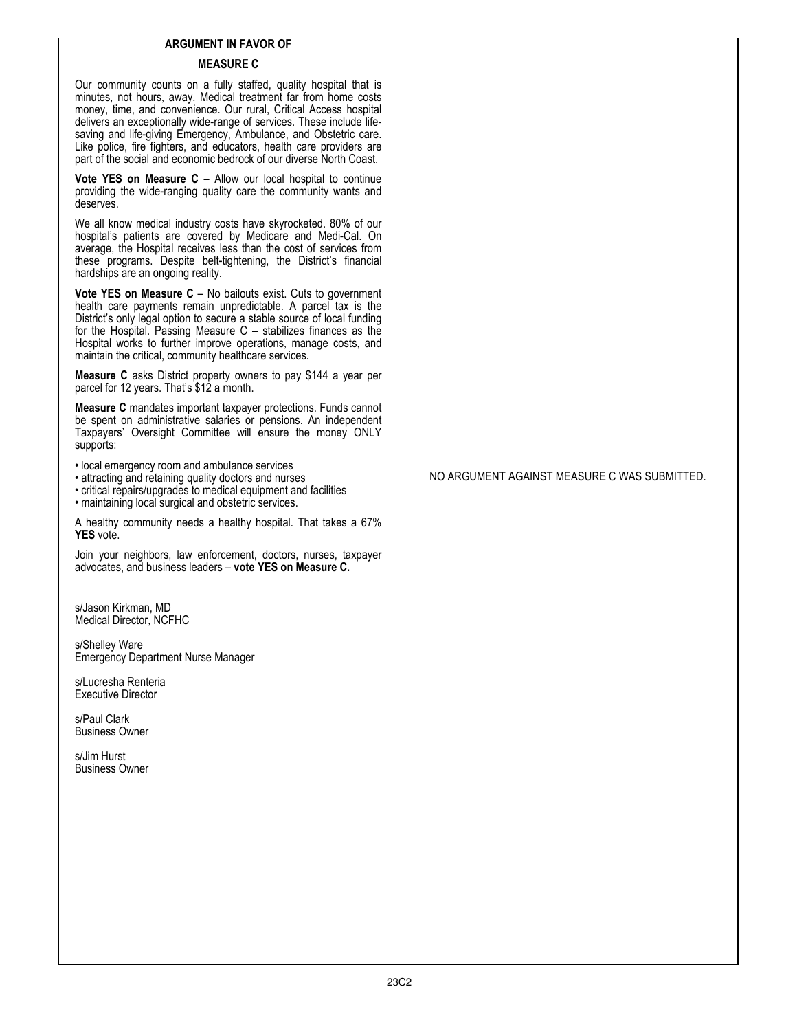## ARGUMENT IN FAVOR OF

# MEASURE C

Our community counts on a fully staffed, quality hospital that is minutes, not hours, away. Medical treatment far from home costs money, time, and convenience. Our rural, Critical Access hospital delivers an exceptionally wide-range of services. These include lifesaving and life-giving Emergency, Ambulance, and Obstetric care. Like police, fire fighters, and educators, health care providers are part of the social and economic bedrock of our diverse North Coast.

Vote YES on Measure C – Allow our local hospital to continue providing the wide-ranging quality care the community wants and deserves.

We all know medical industry costs have skyrocketed. 80% of our hospital's patients are covered by Medicare and Medi-Cal. On average, the Hospital receives less than the cost of services from these programs. Despite belt-tightening, the District's financial hardships are an ongoing reality.

Vote YES on Measure C – No bailouts exist. Cuts to government health care payments remain unpredictable. A parcel tax is the District's only legal option to secure a stable source of local funding for the Hospital. Passing Measure C – stabilizes finances as the Hospital works to further improve operations, manage costs, and maintain the critical, community healthcare services.

Measure C asks District property owners to pay \$144 a year per parcel for 12 years. That's \$12 a month.

Measure C mandates important taxpayer protections. Funds cannot be spent on administrative salaries or pensions. An independent Taxpayers' Oversight Committee will ensure the money ONLY supports:

• local emergency room and ambulance services

• attracting and retaining quality doctors and nurses

• critical repairs/upgrades to medical equipment and facilities

• maintaining local surgical and obstetric services.

A healthy community needs a healthy hospital. That takes a 67% YES vote.

Join your neighbors, law enforcement, doctors, nurses, taxpayer advocates, and business leaders – vote YES on Measure C.

s/Jason Kirkman, MD Medical Director, NCFHC

s/Shelley Ware Emergency Department Nurse Manager

s/Lucresha Renteria Executive Director

s/Paul Clark Business Owner

s/Jim Hurst Business Owner NO ARGUMENT AGAINST MEASURE C WAS SUBMITTED.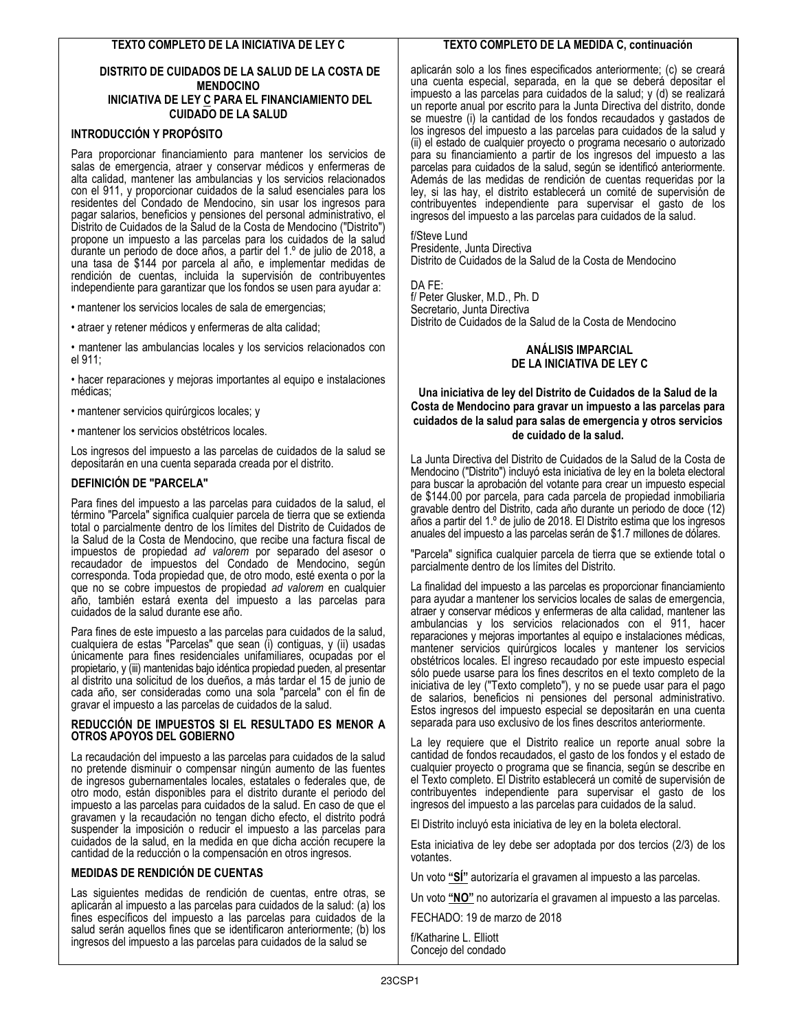#### DISTRITO DE CUIDADOS DE LA SALUD DE LA COSTA DE MENDOCINO INICIATIVA DE LEY C PARA EL FINANCIAMIENTO DEL CUIDADO DE LA SALUD

# INTRODUCCIÓN Y PROPÓSITO

Para proporcionar financiamiento para mantener los servicios de salas de emergencia, atraer y conservar médicos y enfermeras de alta calidad, mantener las ambulancias y los servicios relacionados con el 911, y proporcionar cuidados de la salud esenciales para los residentes del Condado de Mendocino, sin usar los ingresos para pagar salarios, beneficios y pensiones del personal administrativo, el Distrito de Cuidados de la Salud de la Costa de Mendocino ("Distrito") propone un impuesto a las parcelas para los cuidados de la salud durante un periodo de doce años, a partir del 1.º de julio de 2018, a una tasa de \$144 por parcela al año, e implementar medidas de rendición de cuentas, incluida la supervisión de contribuyentes independiente para garantizar que los fondos se usen para ayudar a:

• mantener los servicios locales de sala de emergencias;

• atraer y retener médicos y enfermeras de alta calidad;

• mantener las ambulancias locales y los servicios relacionados con el 911;

• hacer reparaciones y mejoras importantes al equipo e instalaciones médicas;

• mantener servicios quirúrgicos locales; y

• mantener los servicios obstétricos locales.

Los ingresos del impuesto a las parcelas de cuidados de la salud se depositarán en una cuenta separada creada por el distrito.

## DEFINICIÓN DE "PARCELA"

Para fines del impuesto a las parcelas para cuidados de la salud, el término "Parcela" significa cualquier parcela de tierra que se extienda total o parcialmente dentro de los límites del Distrito de Cuidados de la Salud de la Costa de Mendocino, que recibe una factura fiscal de impuestos de propiedad ad valorem por separado del asesor o recaudador de impuestos del Condado de Mendocino, según corresponda. Toda propiedad que, de otro modo, esté exenta o por la que no se cobre impuestos de propiedad ad valorem en cualquier año, también estará exenta del impuesto a las parcelas para cuidados de la salud durante ese año.

Para fines de este impuesto a las parcelas para cuidados de la salud, cualquiera de estas "Parcelas" que sean (i) contiguas, y (ii) usadas únicamente para fines residenciales unifamiliares, ocupadas por el propietario, y (iii) mantenidas bajo idéntica propiedad pueden, al presentar al distrito una solicitud de los dueños, a más tardar el 15 de junio de cada año, ser consideradas como una sola "parcela" con el fin de gravar el impuesto a las parcelas de cuidados de la salud.

#### REDUCCIÓN DE IMPUESTOS SI EL RESULTADO ES MENOR A OTROS APOYOS DEL GOBIERNO

La recaudación del impuesto a las parcelas para cuidados de la salud no pretende disminuir o compensar ningún aumento de las fuentes de ingresos gubernamentales locales, estatales o federales que, de otro modo, están disponibles para el distrito durante el periodo del impuesto a las parcelas para cuidados de la salud. En caso de que el gravamen y la recaudación no tengan dicho efecto, el distrito podrá suspender la imposición o reducir el impuesto a las parcelas para cuidados de la salud, en la medida en que dicha acción recupere la cantidad de la reducción o la compensación en otros ingresos.

## MEDIDAS DE RENDICIÓN DE CUENTAS

Las siguientes medidas de rendición de cuentas, entre otras, se aplicarán al impuesto a las parcelas para cuidados de la salud: (a) los fines específicos del impuesto a las parcelas para cuidados de la salud serán aquellos fines que se identificaron anteriormente; (b) los ingresos del impuesto a las parcelas para cuidados de la salud se

## TEXTO COMPLETO DE LA MEDIDA C, continuación

aplicarán solo a los fines especificados anteriormente; (c) se creará una cuenta especial, separada, en la que se deberá depositar el impuesto a las parcelas para cuidados de la salud; y (d) se realizará un reporte anual por escrito para la Junta Directiva del distrito, donde se muestre (i) la cantidad de los fondos recaudados y gastados de los ingresos del impuesto a las parcelas para cuidados de la salud y (ii) el estado de cualquier proyecto o programa necesario o autorizado para su financiamiento a partir de los ingresos del impuesto a las parcelas para cuidados de la salud, según se identificó anteriormente. Además de las medidas de rendición de cuentas requeridas por la ley, si las hay, el distrito establecerá un comité de supervisión de contribuyentes independiente para supervisar el gasto de los ingresos del impuesto a las parcelas para cuidados de la salud.

f/Steve Lund

Presidente, Junta Directiva Distrito de Cuidados de la Salud de la Costa de Mendocino

DA FE:

f/ Peter Glusker, M.D., Ph. D Secretario, Junta Directiva Distrito de Cuidados de la Salud de la Costa de Mendocino

## ANÁLISIS IMPARCIAL DE LA INICIATIVA DE LEY C

### Una iniciativa de ley del Distrito de Cuidados de la Salud de la Costa de Mendocino para gravar un impuesto a las parcelas para cuidados de la salud para salas de emergencia y otros servicios de cuidado de la salud.

La Junta Directiva del Distrito de Cuidados de la Salud de la Costa de Mendocino ("Distrito") incluyó esta iniciativa de ley en la boleta electoral para buscar la aprobación del votante para crear un impuesto especial de \$144.00 por parcela, para cada parcela de propiedad inmobiliaria gravable dentro del Distrito, cada año durante un periodo de doce (12) años a partir del 1.º de julio de 2018. El Distrito estima que los ingresos anuales del impuesto a las parcelas serán de \$1.7 millones de dólares.

"Parcela" significa cualquier parcela de tierra que se extiende total o parcialmente dentro de los límites del Distrito.

La finalidad del impuesto a las parcelas es proporcionar financiamiento para ayudar a mantener los servicios locales de salas de emergencia, atraer y conservar médicos y enfermeras de alta calidad, mantener las ambulancias y los servicios relacionados con el 911, hacer reparaciones y mejoras importantes al equipo e instalaciones médicas, mantener servicios quirúrgicos locales y mantener los servicios obstétricos locales. El ingreso recaudado por este impuesto especial sólo puede usarse para los fines descritos en el texto completo de la iniciativa de ley ("Texto completo"), y no se puede usar para el pago de salarios, beneficios ni pensiones del personal administrativo. Estos ingresos del impuesto especial se depositarán en una cuenta separada para uso exclusivo de los fines descritos anteriormente.

La ley requiere que el Distrito realice un reporte anual sobre la cantidad de fondos recaudados, el gasto de los fondos y el estado de cualquier proyecto o programa que se financia, según se describe en el Texto completo. El Distrito establecerá un comité de supervisión de contribuyentes independiente para supervisar el gasto de los ingresos del impuesto a las parcelas para cuidados de la salud.

El Distrito incluyó esta iniciativa de ley en la boleta electoral.

Esta iniciativa de ley debe ser adoptada por dos tercios (2/3) de los votantes.

Un voto "SÍ" autorizaría el gravamen al impuesto a las parcelas.

Un voto "NO" no autorizaría el gravamen al impuesto a las parcelas.

FECHADO: 19 de marzo de 2018

f/Katharine L. Elliott Concejo del condado